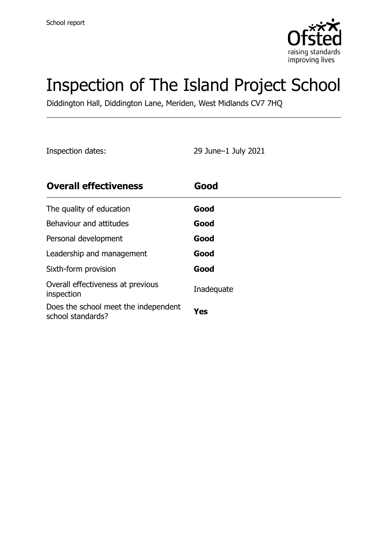

# Inspection of The Island Project School

Diddington Hall, Diddington Lane, Meriden, West Midlands CV7 7HQ

Inspection dates: 29 June–1 July 2021

| <b>Overall effectiveness</b>                              | Good       |
|-----------------------------------------------------------|------------|
| The quality of education                                  | Good       |
| Behaviour and attitudes                                   | Good       |
| Personal development                                      | Good       |
| Leadership and management                                 | Good       |
| Sixth-form provision                                      | Good       |
| Overall effectiveness at previous<br>inspection           | Inadequate |
| Does the school meet the independent<br>school standards? | Yes        |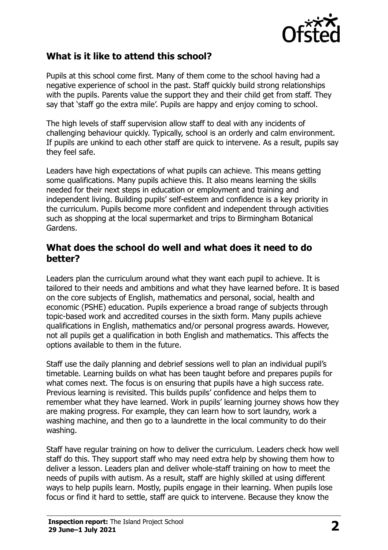

#### **What is it like to attend this school?**

Pupils at this school come first. Many of them come to the school having had a negative experience of school in the past. Staff quickly build strong relationships with the pupils. Parents value the support they and their child get from staff. They say that 'staff go the extra mile'. Pupils are happy and enjoy coming to school.

The high levels of staff supervision allow staff to deal with any incidents of challenging behaviour quickly. Typically, school is an orderly and calm environment. If pupils are unkind to each other staff are quick to intervene. As a result, pupils say they feel safe.

Leaders have high expectations of what pupils can achieve. This means getting some qualifications. Many pupils achieve this. It also means learning the skills needed for their next steps in education or employment and training and independent living. Building pupils' self-esteem and confidence is a key priority in the curriculum. Pupils become more confident and independent through activities such as shopping at the local supermarket and trips to Birmingham Botanical Gardens.

#### **What does the school do well and what does it need to do better?**

Leaders plan the curriculum around what they want each pupil to achieve. It is tailored to their needs and ambitions and what they have learned before. It is based on the core subjects of English, mathematics and personal, social, health and economic (PSHE) education. Pupils experience a broad range of subjects through topic-based work and accredited courses in the sixth form. Many pupils achieve qualifications in English, mathematics and/or personal progress awards. However, not all pupils get a qualification in both English and mathematics. This affects the options available to them in the future.

Staff use the daily planning and debrief sessions well to plan an individual pupil's timetable. Learning builds on what has been taught before and prepares pupils for what comes next. The focus is on ensuring that pupils have a high success rate. Previous learning is revisited. This builds pupils' confidence and helps them to remember what they have learned. Work in pupils' learning journey shows how they are making progress. For example, they can learn how to sort laundry, work a washing machine, and then go to a laundrette in the local community to do their washing.

Staff have regular training on how to deliver the curriculum. Leaders check how well staff do this. They support staff who may need extra help by showing them how to deliver a lesson. Leaders plan and deliver whole-staff training on how to meet the needs of pupils with autism. As a result, staff are highly skilled at using different ways to help pupils learn. Mostly, pupils engage in their learning. When pupils lose focus or find it hard to settle, staff are quick to intervene. Because they know the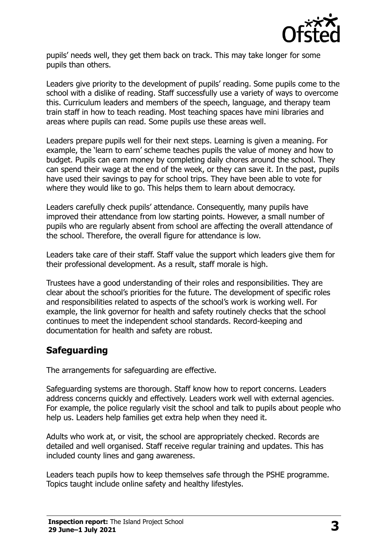

pupils' needs well, they get them back on track. This may take longer for some pupils than others.

Leaders give priority to the development of pupils' reading. Some pupils come to the school with a dislike of reading. Staff successfully use a variety of ways to overcome this. Curriculum leaders and members of the speech, language, and therapy team train staff in how to teach reading. Most teaching spaces have mini libraries and areas where pupils can read. Some pupils use these areas well.

Leaders prepare pupils well for their next steps. Learning is given a meaning. For example, the 'learn to earn' scheme teaches pupils the value of money and how to budget. Pupils can earn money by completing daily chores around the school. They can spend their wage at the end of the week, or they can save it. In the past, pupils have used their savings to pay for school trips. They have been able to vote for where they would like to go. This helps them to learn about democracy.

Leaders carefully check pupils' attendance. Consequently, many pupils have improved their attendance from low starting points. However, a small number of pupils who are regularly absent from school are affecting the overall attendance of the school. Therefore, the overall figure for attendance is low.

Leaders take care of their staff. Staff value the support which leaders give them for their professional development. As a result, staff morale is high.

Trustees have a good understanding of their roles and responsibilities. They are clear about the school's priorities for the future. The development of specific roles and responsibilities related to aspects of the school's work is working well. For example, the link governor for health and safety routinely checks that the school continues to meet the independent school standards. Record-keeping and documentation for health and safety are robust.

#### **Safeguarding**

The arrangements for safeguarding are effective.

Safeguarding systems are thorough. Staff know how to report concerns. Leaders address concerns quickly and effectively. Leaders work well with external agencies. For example, the police regularly visit the school and talk to pupils about people who help us. Leaders help families get extra help when they need it.

Adults who work at, or visit, the school are appropriately checked. Records are detailed and well organised. Staff receive regular training and updates. This has included county lines and gang awareness.

Leaders teach pupils how to keep themselves safe through the PSHE programme. Topics taught include online safety and healthy lifestyles.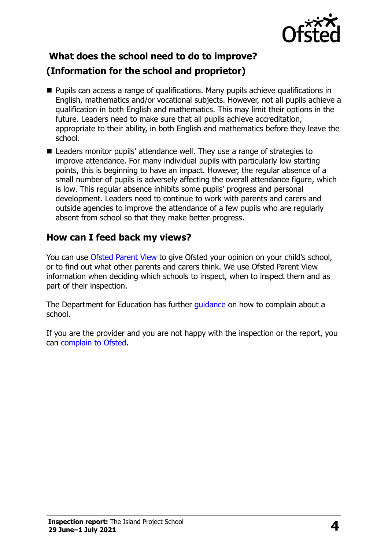

# **What does the school need to do to improve?**

### **(Information for the school and proprietor)**

- **Pupils can access a range of qualifications. Many pupils achieve qualifications in** English, mathematics and/or vocational subjects. However, not all pupils achieve a qualification in both English and mathematics. This may limit their options in the future. Leaders need to make sure that all pupils achieve accreditation, appropriate to their ability, in both English and mathematics before they leave the school.
- Leaders monitor pupils' attendance well. They use a range of strategies to improve attendance. For many individual pupils with particularly low starting points, this is beginning to have an impact. However, the regular absence of a small number of pupils is adversely affecting the overall attendance figure, which is low. This regular absence inhibits some pupils' progress and personal development. Leaders need to continue to work with parents and carers and outside agencies to improve the attendance of a few pupils who are regularly absent from school so that they make better progress.

### **How can I feed back my views?**

You can use [Ofsted Parent View](http://parentview.ofsted.gov.uk/) to give Ofsted your opinion on your child's school, or to find out what other parents and carers think. We use Ofsted Parent View information when deciding which schools to inspect, when to inspect them and as part of their inspection.

The Department for Education has further quidance on how to complain about a school.

If you are the provider and you are not happy with the inspection or the report, you can [complain to Ofsted.](http://www.gov.uk/complain-ofsted-report)

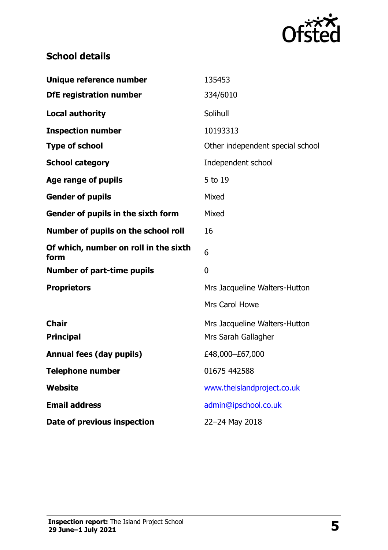

# **School details**

| Unique reference number                       | 135453                                               |
|-----------------------------------------------|------------------------------------------------------|
| <b>DfE registration number</b>                | 334/6010                                             |
| <b>Local authority</b>                        | Solihull                                             |
| <b>Inspection number</b>                      | 10193313                                             |
| <b>Type of school</b>                         | Other independent special school                     |
| <b>School category</b>                        | Independent school                                   |
| Age range of pupils                           | 5 to 19                                              |
| <b>Gender of pupils</b>                       | Mixed                                                |
| Gender of pupils in the sixth form            | Mixed                                                |
| Number of pupils on the school roll           | 16                                                   |
| Of which, number on roll in the sixth<br>form | 6                                                    |
| <b>Number of part-time pupils</b>             | $\overline{0}$                                       |
| <b>Proprietors</b>                            | Mrs Jacqueline Walters-Hutton                        |
|                                               | <b>Mrs Carol Howe</b>                                |
| <b>Chair</b><br><b>Principal</b>              | Mrs Jacqueline Walters-Hutton<br>Mrs Sarah Gallagher |
| <b>Annual fees (day pupils)</b>               | £48,000-£67,000                                      |
| Telephone number                              | 01675 442588                                         |
| <b>Website</b>                                | www.theislandproject.co.uk                           |
| <b>Email address</b>                          | admin@ipschool.co.uk                                 |
| Date of previous inspection                   | 22-24 May 2018                                       |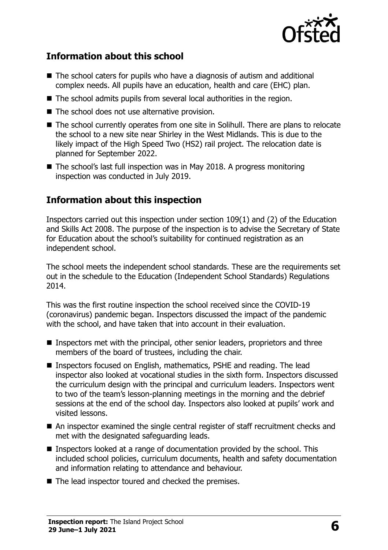

### **Information about this school**

- The school caters for pupils who have a diagnosis of autism and additional complex needs. All pupils have an education, health and care (EHC) plan.
- The school admits pupils from several local authorities in the region.
- The school does not use alternative provision.
- The school currently operates from one site in Solihull. There are plans to relocate the school to a new site near Shirley in the West Midlands. This is due to the likely impact of the High Speed Two (HS2) rail project. The relocation date is planned for September 2022.
- The school's last full inspection was in May 2018. A progress monitoring inspection was conducted in July 2019.

#### **Information about this inspection**

Inspectors carried out this inspection under section 109(1) and (2) of the Education and Skills Act 2008. The purpose of the inspection is to advise the Secretary of State for Education about the school's suitability for continued registration as an independent school.

The school meets the independent school standards. These are the requirements set out in the schedule to the Education (Independent School Standards) Regulations 2014.

This was the first routine inspection the school received since the COVID-19 (coronavirus) pandemic began. Inspectors discussed the impact of the pandemic with the school, and have taken that into account in their evaluation.

- Inspectors met with the principal, other senior leaders, proprietors and three members of the board of trustees, including the chair.
- Inspectors focused on English, mathematics, PSHE and reading. The lead inspector also looked at vocational studies in the sixth form. Inspectors discussed the curriculum design with the principal and curriculum leaders. Inspectors went to two of the team's lesson-planning meetings in the morning and the debrief sessions at the end of the school day. Inspectors also looked at pupils' work and visited lessons.
- An inspector examined the single central register of staff recruitment checks and met with the designated safeguarding leads.
- Inspectors looked at a range of documentation provided by the school. This included school policies, curriculum documents, health and safety documentation and information relating to attendance and behaviour.
- The lead inspector toured and checked the premises.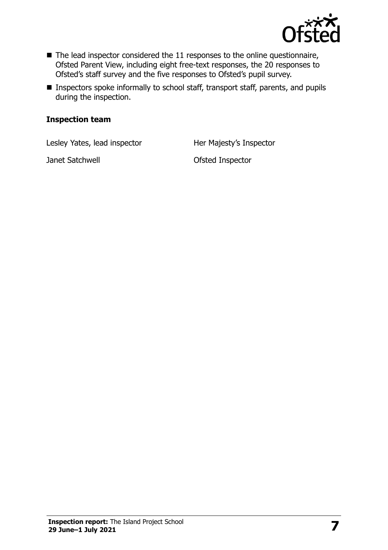

- $\blacksquare$  The lead inspector considered the 11 responses to the online questionnaire, Ofsted Parent View, including eight free-text responses, the 20 responses to Ofsted's staff survey and the five responses to Ofsted's pupil survey.
- Inspectors spoke informally to school staff, transport staff, parents, and pupils during the inspection.

#### **Inspection team**

Lesley Yates, lead inspector **Her Majesty's Inspector** 

Janet Satchwell **Contract Satchwell Contract Satchwell**